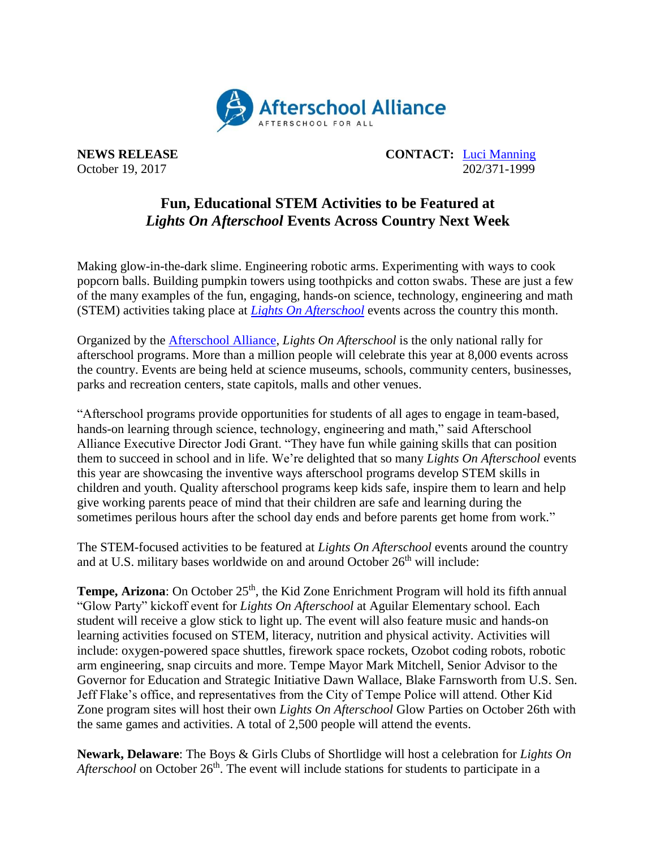

**NEWS RELEASE CONTACT:** [Luci Manning](mailto:luci@prsolutionsdc.com) October 19, 2017 202/371-1999

## **Fun, Educational STEM Activities to be Featured at** *Lights On Afterschool* **Events Across Country Next Week**

Making glow-in-the-dark slime. Engineering robotic arms. Experimenting with ways to cook popcorn balls. Building pumpkin towers using toothpicks and cotton swabs. These are just a few of the many examples of the fun, engaging, hands-on science, technology, engineering and math (STEM) activities taking place at *[Lights On Afterschool](http://www.afterschoolalliance.org/loa.cfm)* events across the country this month.

Organized by the [Afterschool Alliance,](http://www.afterschoolalliance.org/) *Lights On Afterschool* is the only national rally for afterschool programs. More than a million people will celebrate this year at 8,000 events across the country. Events are being held at science museums, schools, community centers, businesses, parks and recreation centers, state capitols, malls and other venues.

"Afterschool programs provide opportunities for students of all ages to engage in team-based, hands-on learning through science, technology, engineering and math," said Afterschool Alliance Executive Director Jodi Grant. "They have fun while gaining skills that can position them to succeed in school and in life. We're delighted that so many *Lights On Afterschool* events this year are showcasing the inventive ways afterschool programs develop STEM skills in children and youth. Quality afterschool programs keep kids safe, inspire them to learn and help give working parents peace of mind that their children are safe and learning during the sometimes perilous hours after the school day ends and before parents get home from work."

The STEM-focused activities to be featured at *Lights On Afterschool* events around the country and at U.S. military bases worldwide on and around October 26<sup>th</sup> will include:

**Tempe, Arizona**: On October 25<sup>th</sup>, the Kid Zone Enrichment Program will hold its fifth annual "Glow Party" kickoff event for *Lights On Afterschool* at Aguilar Elementary school*.* Each student will receive a glow stick to light up. The event will also feature music and hands-on learning activities focused on STEM, literacy, nutrition and physical activity. Activities will include: oxygen-powered space shuttles, firework space rockets, Ozobot coding robots, robotic arm engineering, snap circuits and more. Tempe Mayor Mark Mitchell, Senior Advisor to the Governor for Education and Strategic Initiative Dawn Wallace, Blake Farnsworth from U.S. Sen. Jeff Flake's office, and representatives from the City of Tempe Police will attend. Other Kid Zone program sites will host their own *Lights On Afterschool* Glow Parties on October 26th with the same games and activities. A total of 2,500 people will attend the events.

**Newark, Delaware**: The Boys & Girls Clubs of Shortlidge will host a celebration for *Lights On Afterschool* on October 26<sup>th</sup>. The event will include stations for students to participate in a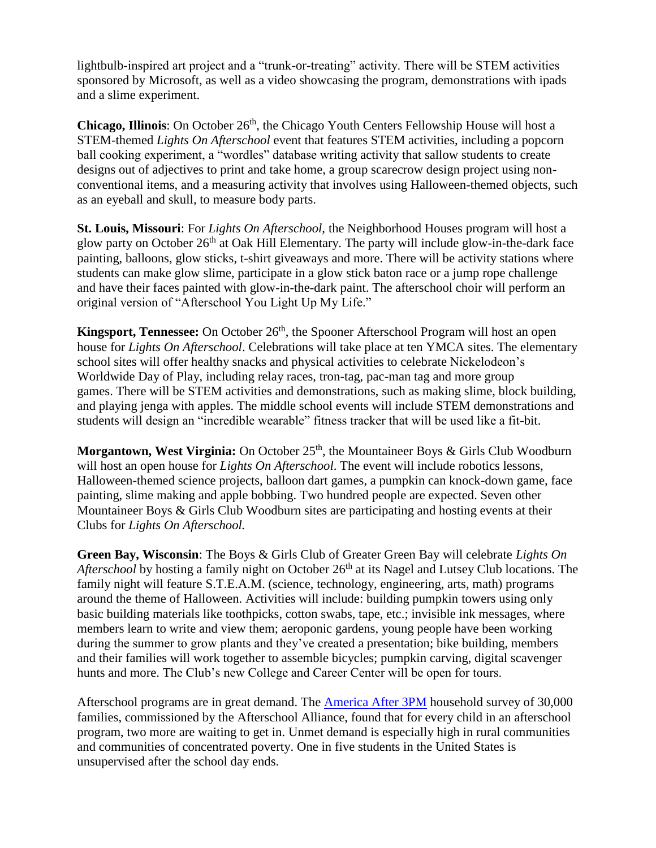lightbulb-inspired art project and a "trunk-or-treating" activity. There will be STEM activities sponsored by Microsoft, as well as a video showcasing the program, demonstrations with ipads and a slime experiment.

**Chicago, Illinois**: On October 26<sup>th</sup>, the Chicago Youth Centers Fellowship House will host a STEM-themed *Lights On Afterschool* event that features STEM activities, including a popcorn ball cooking experiment, a "wordles" database writing activity that sallow students to create designs out of adjectives to print and take home, a group scarecrow design project using nonconventional items, and a measuring activity that involves using Halloween-themed objects, such as an eyeball and skull, to measure body parts.

**St. Louis, Missouri**: For *Lights On Afterschool,* the Neighborhood Houses program will host a glow party on October 26<sup>th</sup> at Oak Hill Elementary. The party will include glow-in-the-dark face painting, balloons, glow sticks, t-shirt giveaways and more. There will be activity stations where students can make glow slime, participate in a glow stick baton race or a jump rope challenge and have their faces painted with glow-in-the-dark paint. The afterschool choir will perform an original version of "Afterschool You Light Up My Life."

**Kingsport, Tennessee:** On October 26<sup>th</sup>, the Spooner Afterschool Program will host an open house for *Lights On Afterschool*. Celebrations will take place at ten YMCA sites. The elementary school sites will offer healthy snacks and physical activities to celebrate Nickelodeon's Worldwide Day of Play, including relay races, tron-tag, pac-man tag and more group games. There will be STEM activities and demonstrations, such as making slime, block building, and playing jenga with apples. The middle school events will include STEM demonstrations and students will design an "incredible wearable" fitness tracker that will be used like a fit-bit.

**Morgantown, West Virginia:** On October 25<sup>th</sup>, the Mountaineer Boys & Girls Club Woodburn will host an open house for *Lights On Afterschool*. The event will include robotics lessons, Halloween-themed science projects, balloon dart games, a pumpkin can knock-down game, face painting, slime making and apple bobbing. Two hundred people are expected. Seven other Mountaineer Boys & Girls Club Woodburn sites are participating and hosting events at their Clubs for *Lights On Afterschool.*

**Green Bay, Wisconsin**: The Boys & Girls Club of Greater Green Bay will celebrate *Lights On Afterschool* by hosting a family night on October 26<sup>th</sup> at its Nagel and Lutsey Club locations. The family night will feature S.T.E.A.M. (science, technology, engineering, arts, math) programs around the theme of Halloween. Activities will include: building pumpkin towers using only basic building materials like toothpicks, cotton swabs, tape, etc.; invisible ink messages, where members learn to write and view them; aeroponic gardens, young people have been working during the summer to grow plants and they've created a presentation; bike building, members and their families will work together to assemble bicycles; pumpkin carving, digital scavenger hunts and more. The Club's new College and Career Center will be open for tours.

Afterschool programs are in great demand. The [America After 3PM](http://www.afterschoolalliance.org/AA3PM/) household survey of 30,000 families, commissioned by the Afterschool Alliance, found that for every child in an afterschool program, two more are waiting to get in. Unmet demand is especially high in rural communities and communities of concentrated poverty. One in five students in the United States is unsupervised after the school day ends.